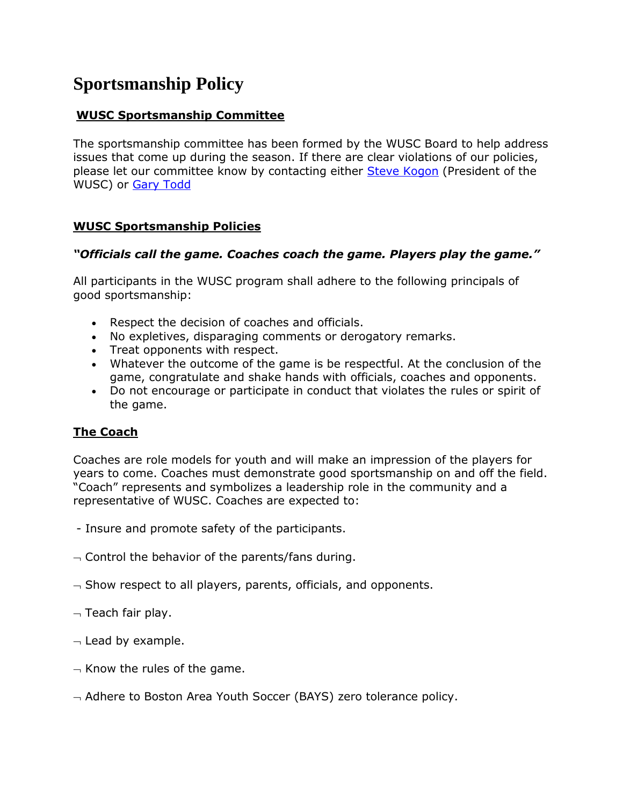# **Sportsmanship Policy**

## **WUSC Sportsmanship Committee**

The sportsmanship committee has been formed by the WUSC Board to help address issues that come up during the season. If there are clear violations of our policies, please let our committee know by contacting either [Steve Kogon](mailto:kogon@comcast.net) (President of the WUSC) or [Gary Todd](mailto:gtodd@toddweld.com)

#### **WUSC Sportsmanship Policies**

#### *"Officials call the game. Coaches coach the game. Players play the game."*

All participants in the WUSC program shall adhere to the following principals of good sportsmanship:

- Respect the decision of coaches and officials.
- No expletives, disparaging comments or derogatory remarks.
- Treat opponents with respect.
- Whatever the outcome of the game is be respectful. At the conclusion of the game, congratulate and shake hands with officials, coaches and opponents.
- Do not encourage or participate in conduct that violates the rules or spirit of the game.

## **The Coach**

Coaches are role models for youth and will make an impression of the players for years to come. Coaches must demonstrate good sportsmanship on and off the field. "Coach" represents and symbolizes a leadership role in the community and a representative of WUSC. Coaches are expected to:

- Insure and promote safety of the participants.
- $\sim$  Control the behavior of the parents/fans during.
- $\overline{\phantom{a}}$  Show respect to all players, parents, officials, and opponents.
- $\neg$  Teach fair play.
- $\lnot$  Lead by example.
- $\overline{\phantom{a}}$  Know the rules of the game.
- $\overline{\phantom{a}}$  Adhere to Boston Area Youth Soccer (BAYS) zero tolerance policy.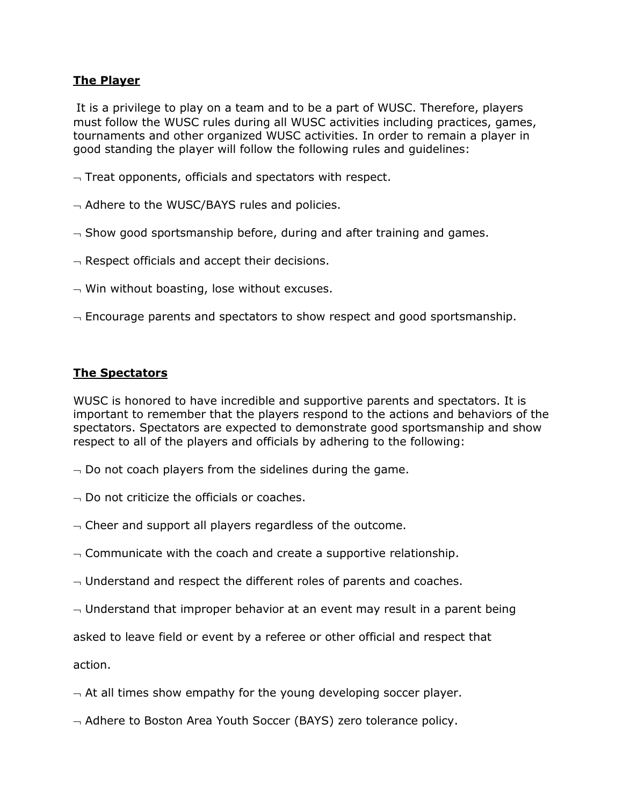### **The Player**

It is a privilege to play on a team and to be a part of WUSC. Therefore, players must follow the WUSC rules during all WUSC activities including practices, games, tournaments and other organized WUSC activities. In order to remain a player in good standing the player will follow the following rules and guidelines:

- $\lnot$  Treat opponents, officials and spectators with respect.
- $\overline{\phantom{a}}$  Adhere to the WUSC/BAYS rules and policies.
- $\sim$  Show good sportsmanship before, during and after training and games.
- $\overline{\phantom{a}}$  Respect officials and accept their decisions.
- $\overline{\phantom{a}}$  Win without boasting, lose without excuses.
- $\overline{\phantom{a}}$  Encourage parents and spectators to show respect and good sportsmanship.

### **The Spectators**

WUSC is honored to have incredible and supportive parents and spectators. It is important to remember that the players respond to the actions and behaviors of the spectators. Spectators are expected to demonstrate good sportsmanship and show respect to all of the players and officials by adhering to the following:

- $\overline{\phantom{a}}$  Do not coach players from the sidelines during the game.
- $\overline{\phantom{a}}$  Do not criticize the officials or coaches.
- $\overline{\phantom{a}}$  Cheer and support all players regardless of the outcome.
- $\sim$  Communicate with the coach and create a supportive relationship.
- $\sim$  Understand and respect the different roles of parents and coaches.
- $\overline{\phantom{a}}$  Understand that improper behavior at an event may result in a parent being

asked to leave field or event by a referee or other official and respect that

action.

- $\overline{\phantom{a}}$  At all times show empathy for the young developing soccer player.
- $\sim$  Adhere to Boston Area Youth Soccer (BAYS) zero tolerance policy.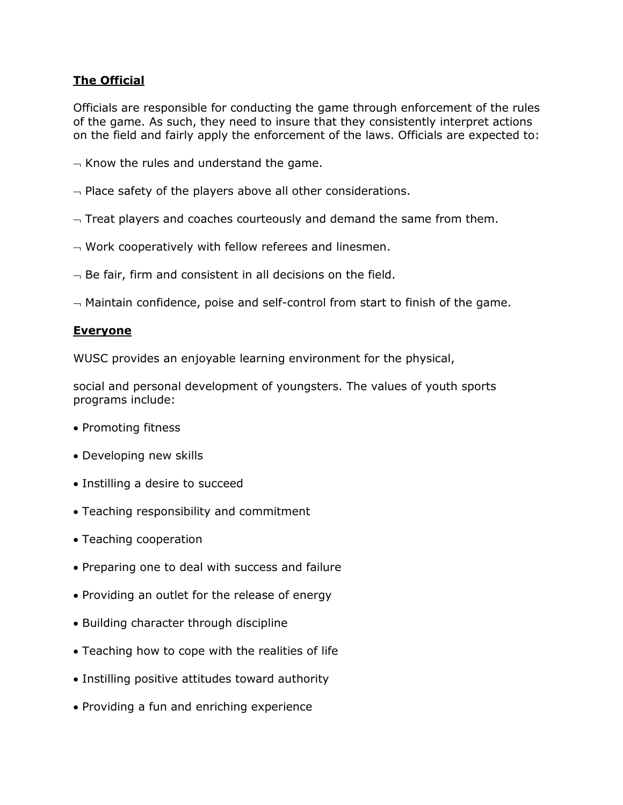## **The Official**

Officials are responsible for conducting the game through enforcement of the rules of the game. As such, they need to insure that they consistently interpret actions on the field and fairly apply the enforcement of the laws. Officials are expected to:

- $\overline{\phantom{a}}$  Know the rules and understand the game.
- $\overline{\phantom{a}}$  Place safety of the players above all other considerations.
- $\overline{\phantom{a}}$  Treat players and coaches courteously and demand the same from them.
- $\overline{\phantom{a}}$  Work cooperatively with fellow referees and linesmen.
- $\overline{\phantom{a}}$  Be fair, firm and consistent in all decisions on the field.

 $-$  Maintain confidence, poise and self-control from start to finish of the game.

#### **Everyone**

WUSC provides an enjoyable learning environment for the physical,

social and personal development of youngsters. The values of youth sports programs include:

- Promoting fitness
- Developing new skills
- Instilling a desire to succeed
- Teaching responsibility and commitment
- Teaching cooperation
- Preparing one to deal with success and failure
- Providing an outlet for the release of energy
- Building character through discipline
- Teaching how to cope with the realities of life
- Instilling positive attitudes toward authority
- Providing a fun and enriching experience